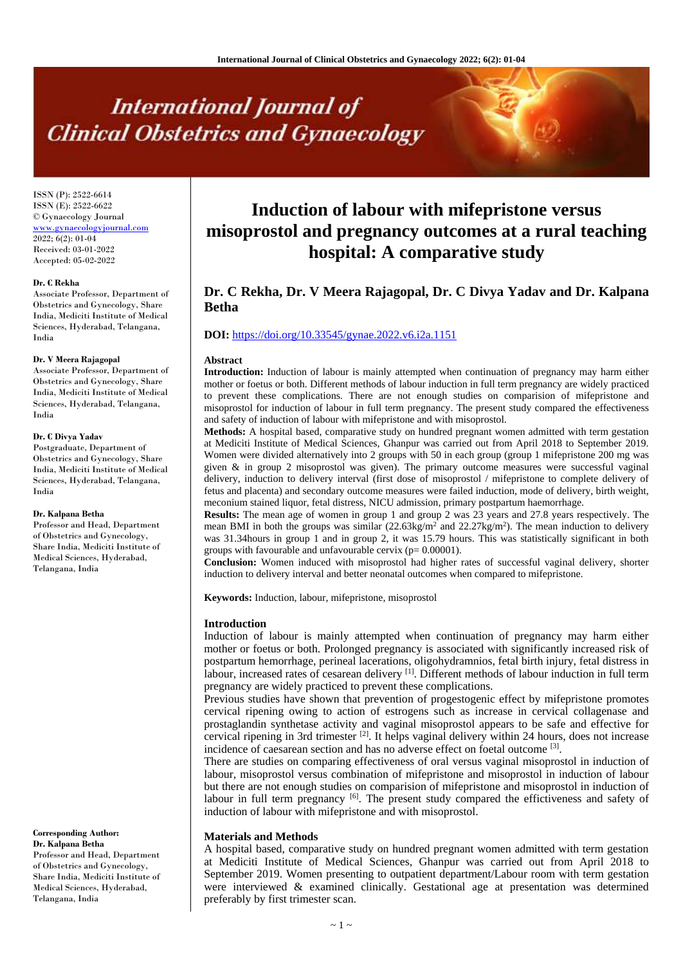# **International Journal of Clinical Obstetrics and Gynaecology**

ISSN (P): 2522-6614 ISSN (E): 2522-6622 © Gynaecology Journal <www.gynaecologyjournal.com> 2022; 6(2): 01-04 Received: 03-01-2022 Accepted: 05-02-2022

#### **Dr. C Rekha**

Associate Professor, Department of Obstetrics and Gynecology, Share India, Mediciti Institute of Medical Sciences, Hyderabad, Telangana, India

#### **Dr. V Meera Rajagopal**

Associate Professor, Department of Obstetrics and Gynecology, Share India, Mediciti Institute of Medical Sciences, Hyderabad, Telangana, India

#### **Dr. C Divya Yadav**

Postgraduate, Department of Obstetrics and Gynecology, Share India, Mediciti Institute of Medical Sciences, Hyderabad, Telangana, India

#### **Dr. Kalpana Betha**

Professor and Head, Department of Obstetrics and Gynecology, Share India, Mediciti Institute of Medical Sciences, Hyderabad, Telangana, India

**Corresponding Author: Dr. Kalpana Betha** Professor and Head, Department of Obstetrics and Gynecology, Share India, Mediciti Institute of Medical Sciences, Hyderabad, Telangana, India

# **Induction of labour with mifepristone versus misoprostol and pregnancy outcomes at a rural teaching hospital: A comparative study**

# **Dr. C Rekha, Dr. V Meera Rajagopal, Dr. C Divya Yadav and Dr. Kalpana Betha**

# **DOI:** <https://doi.org/10.33545/gynae.2022.v6.i2a.1151>

#### **Abstract**

**Introduction:** Induction of labour is mainly attempted when continuation of pregnancy may harm either mother or foetus or both. Different methods of labour induction in full term pregnancy are widely practiced to prevent these complications. There are not enough studies on comparision of mifepristone and misoprostol for induction of labour in full term pregnancy. The present study compared the effectiveness and safety of induction of labour with mifepristone and with misoprostol.

**Methods:** A hospital based, comparative study on hundred pregnant women admitted with term gestation at Mediciti Institute of Medical Sciences, Ghanpur was carried out from April 2018 to September 2019. Women were divided alternatively into 2 groups with 50 in each group (group 1 mifepristone 200 mg was given & in group 2 misoprostol was given). The primary outcome measures were successful vaginal delivery, induction to delivery interval (first dose of misoprostol / mifepristone to complete delivery of fetus and placenta) and secondary outcome measures were failed induction, mode of delivery, birth weight, meconium stained liquor, fetal distress, NICU admission, primary postpartum haemorrhage.

**Results:** The mean age of women in group 1 and group 2 was 23 years and 27.8 years respectively. The mean BMI in both the groups was similar  $(22.63 \text{kg/m}^2 \text{ and } 22.27 \text{kg/m}^2)$ . The mean induction to delivery was 31.34hours in group 1 and in group 2, it was 15.79 hours. This was statistically significant in both groups with favourable and unfavourable cervix  $(p= 0.00001)$ .

**Conclusion:** Women induced with misoprostol had higher rates of successful vaginal delivery, shorter induction to delivery interval and better neonatal outcomes when compared to mifepristone.

**Keywords:** Induction, labour, mifepristone, misoprostol

#### **Introduction**

Induction of labour is mainly attempted when continuation of pregnancy may harm either mother or foetus or both. Prolonged pregnancy is associated with significantly increased risk of postpartum hemorrhage, perineal lacerations, oligohydramnios, fetal birth injury, fetal distress in labour, increased rates of cesarean delivery <sup>[1]</sup>. Different methods of labour induction in full term pregnancy are widely practiced to prevent these complications.

Previous studies have shown that prevention of progestogenic effect by mifepristone promotes cervical ripening owing to action of estrogens such as increase in cervical collagenase and prostaglandin synthetase activity and vaginal misoprostol appears to be safe and effective for cervical ripening in 3rd trimester <sup>[2]</sup>. It helps vaginal delivery within 24 hours, does not increase incidence of caesarean section and has no adverse effect on foetal outcome [3].

There are studies on comparing effectiveness of oral versus vaginal misoprostol in induction of labour, misoprostol versus combination of mifepristone and misoprostol in induction of labour but there are not enough studies on comparision of mifepristone and misoprostol in induction of labour in full term pregnancy <sup>[6]</sup>. The present study compared the effictiveness and safety of induction of labour with mifepristone and with misoprostol.

#### **Materials and Methods**

A hospital based, comparative study on hundred pregnant women admitted with term gestation at Mediciti Institute of Medical Sciences, Ghanpur was carried out from April 2018 to September 2019. Women presenting to outpatient department/Labour room with term gestation were interviewed & examined clinically. Gestational age at presentation was determined preferably by first trimester scan.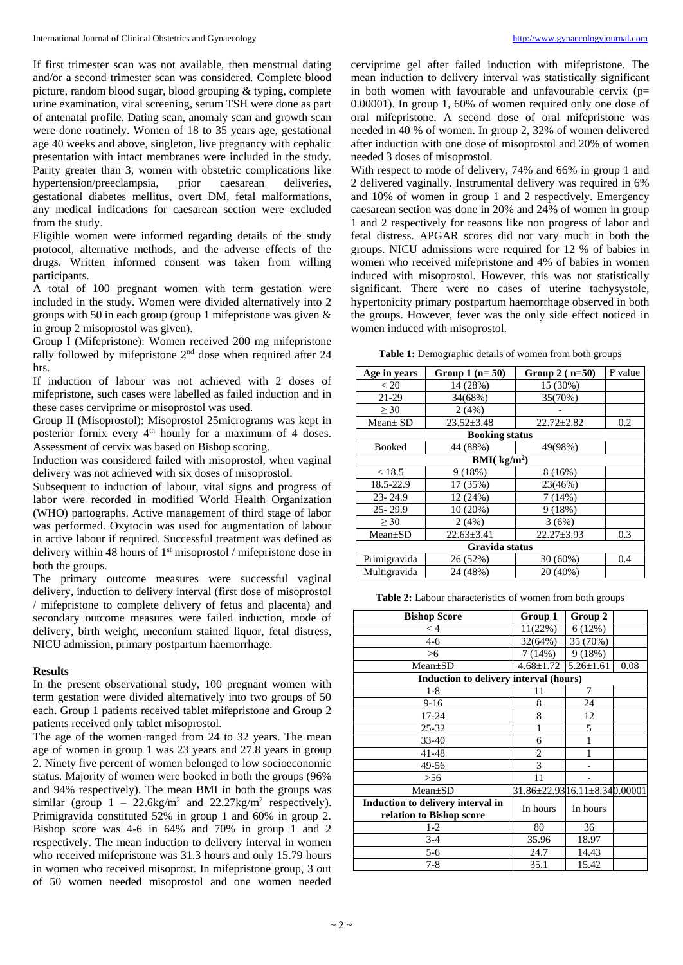If first trimester scan was not available, then menstrual dating and/or a second trimester scan was considered. Complete blood picture, random blood sugar, blood grouping & typing, complete urine examination, viral screening, serum TSH were done as part of antenatal profile. Dating scan, anomaly scan and growth scan were done routinely. Women of 18 to 35 years age, gestational age 40 weeks and above, singleton, live pregnancy with cephalic presentation with intact membranes were included in the study. Parity greater than 3, women with obstetric complications like hypertension/preeclampsia, prior caesarean deliveries, gestational diabetes mellitus, overt DM, fetal malformations, any medical indications for caesarean section were excluded from the study.

Eligible women were informed regarding details of the study protocol, alternative methods, and the adverse effects of the drugs. Written informed consent was taken from willing participants.

A total of 100 pregnant women with term gestation were included in the study. Women were divided alternatively into 2 groups with 50 in each group (group 1 mifepristone was given & in group 2 misoprostol was given).

Group I (Mifepristone): Women received 200 mg mifepristone rally followed by mifepristone  $2<sup>nd</sup>$  dose when required after 24 hrs.

If induction of labour was not achieved with 2 doses of mifepristone, such cases were labelled as failed induction and in these cases cerviprime or misoprostol was used.

Group II (Misoprostol): Misoprostol 25micrograms was kept in posterior fornix every  $4<sup>th</sup>$  hourly for a maximum of 4 doses. Assessment of cervix was based on Bishop scoring.

Induction was considered failed with misoprostol, when vaginal delivery was not achieved with six doses of misoprostol.

Subsequent to induction of labour, vital signs and progress of labor were recorded in modified World Health Organization (WHO) partographs. Active management of third stage of labor was performed. Oxytocin was used for augmentation of labour in active labour if required. Successful treatment was defined as delivery within 48 hours of 1<sup>st</sup> misoprostol / mifepristone dose in both the groups.

The primary outcome measures were successful vaginal delivery, induction to delivery interval (first dose of misoprostol / mifepristone to complete delivery of fetus and placenta) and secondary outcome measures were failed induction, mode of delivery, birth weight, meconium stained liquor, fetal distress, NICU admission, primary postpartum haemorrhage.

#### **Results**

In the present observational study, 100 pregnant women with term gestation were divided alternatively into two groups of 50 each. Group 1 patients received tablet mifepristone and Group 2 patients received only tablet misoprostol.

The age of the women ranged from 24 to 32 years. The mean age of women in group 1 was 23 years and 27.8 years in group 2. Ninety five percent of women belonged to low socioeconomic status. Majority of women were booked in both the groups (96% and 94% respectively). The mean BMI in both the groups was similar (group  $1 - 22.6$ kg/m<sup>2</sup> and  $22.27$ kg/m<sup>2</sup> respectively). Primigravida constituted 52% in group 1 and 60% in group 2. Bishop score was 4-6 in 64% and 70% in group 1 and 2 respectively. The mean induction to delivery interval in women who received mifepristone was 31.3 hours and only 15.79 hours in women who received misoprost. In mifepristone group, 3 out of 50 women needed misoprostol and one women needed cerviprime gel after failed induction with mifepristone. The mean induction to delivery interval was statistically significant in both women with favourable and unfavourable cervix  $(p=$ 0.00001). In group 1, 60% of women required only one dose of oral mifepristone. A second dose of oral mifepristone was needed in 40 % of women. In group 2, 32% of women delivered after induction with one dose of misoprostol and 20% of women needed 3 doses of misoprostol.

With respect to mode of delivery, 74% and 66% in group 1 and 2 delivered vaginally. Instrumental delivery was required in 6% and 10% of women in group 1 and 2 respectively. Emergency caesarean section was done in 20% and 24% of women in group 1 and 2 respectively for reasons like non progress of labor and fetal distress. APGAR scores did not vary much in both the groups. NICU admissions were required for 12 % of babies in women who received mifepristone and 4% of babies in women induced with misoprostol. However, this was not statistically significant. There were no cases of uterine tachysystole, hypertonicity primary postpartum haemorrhage observed in both the groups. However, fever was the only side effect noticed in women induced with misoprostol.

**Table 1:** Demographic details of women from both groups

| Age in years          | Group $1$ (n= 50) | Group $2(n=50)$  | P value |  |  |
|-----------------------|-------------------|------------------|---------|--|--|
| < 20                  | 14 (28%)          | 15 (30%)         |         |  |  |
| 21-29                 | 34(68%)           | 35(70%)          |         |  |  |
| $\geq 30$             | 2(4%)             |                  |         |  |  |
| $Mean \pm SD$         | $23.52 + 3.48$    | $22.72 \pm 2.82$ | 0.2     |  |  |
| <b>Booking status</b> |                   |                  |         |  |  |
| Booked                | 44 (88%)          | 49(98%)          |         |  |  |
| BMI( $kg/m2$ )        |                   |                  |         |  |  |
| < 18.5                | 9(18%)            | 8(16%)           |         |  |  |
| 18.5-22.9             | 17 (35%)          | 23(46%)          |         |  |  |
| $23 - 24.9$           | 12 (24%)          | 7(14%)           |         |  |  |
| $25 - 29.9$           | 10 (20%)          | 9(18%)           |         |  |  |
| > 30                  | 2(4%)             | 3(6%)            |         |  |  |
| $Mean \pm SD$         | $22.63 \pm 3.41$  | $22.27 \pm 3.93$ | 0.3     |  |  |
| Gravida status        |                   |                  |         |  |  |
| Primigravida          | 26 (52%)          | $30(60\%)$       | 0.4     |  |  |
| Multigravida          | 24 (48%)          | 20 (40%)         |         |  |  |

**Table 2:** Labour characteristics of women from both groups

| <b>Bishop Score</b>                                           | Group 1                      | Group 2         |      |  |  |  |
|---------------------------------------------------------------|------------------------------|-----------------|------|--|--|--|
| $\lt 4$                                                       | 11(22%)                      | 6(12%)          |      |  |  |  |
| $4-6$                                                         | 32(64%)                      | 35 (70%)        |      |  |  |  |
| >6                                                            | 7(14%)                       | 9(18%)          |      |  |  |  |
| $Mean \pm SD$                                                 | $4.68 \pm 1.72$              | $5.26 \pm 1.61$ | 0.08 |  |  |  |
| <b>Induction to delivery interval (hours)</b>                 |                              |                 |      |  |  |  |
| $1 - 8$                                                       | 11                           | 7               |      |  |  |  |
| $9-16$                                                        | 8                            | 24              |      |  |  |  |
| 17-24                                                         | 8                            | 12              |      |  |  |  |
| $25 - 32$                                                     | 1                            | 5               |      |  |  |  |
| $33-40$                                                       | 6                            |                 |      |  |  |  |
| 41-48                                                         | $\overline{c}$               |                 |      |  |  |  |
| 49-56                                                         | 3                            |                 |      |  |  |  |
| > 56                                                          | 11                           |                 |      |  |  |  |
| $Mean \pm SD$                                                 | 31.86±22.9316.11±8.340.00001 |                 |      |  |  |  |
| Induction to delivery interval in<br>relation to Bishop score | In hours                     | In hours        |      |  |  |  |
| $1-2$                                                         | 80                           | 36              |      |  |  |  |
| $3-4$                                                         | 35.96                        | 18.97           |      |  |  |  |
| $5-6$                                                         | 24.7                         | 14.43           |      |  |  |  |
| 7-8                                                           | 35.1                         | 15.42           |      |  |  |  |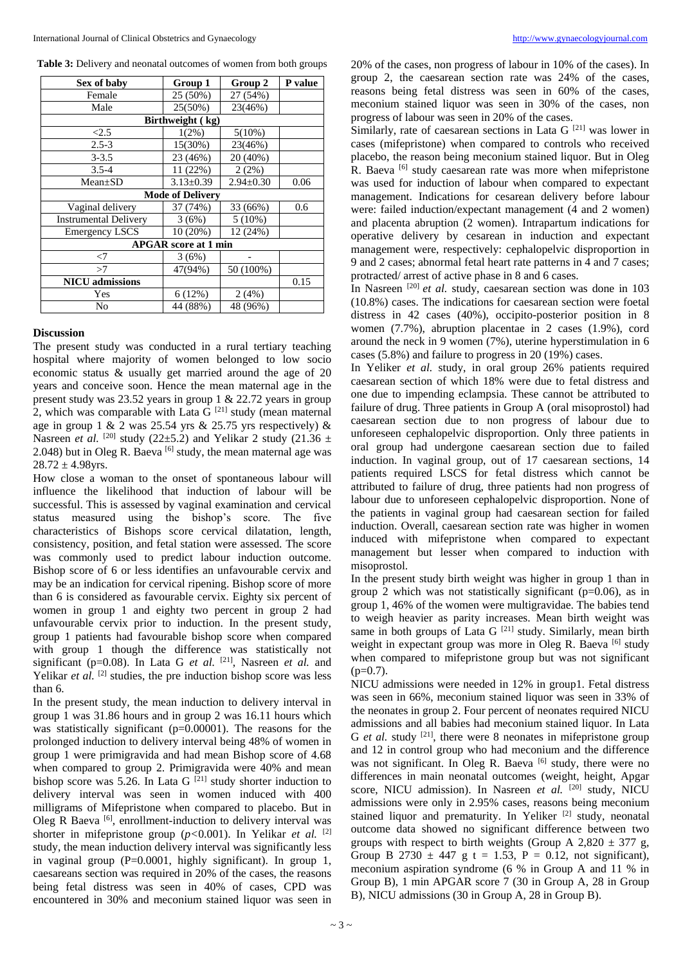**Table 3:** Delivery and neonatal outcomes of women from both groups

| Sex of baby                  | Group 1         | Group 2         | P value |  |  |  |
|------------------------------|-----------------|-----------------|---------|--|--|--|
| Female                       | 25 (50%)        | 27 (54%)        |         |  |  |  |
| Male                         | 25(50%)         | 23(46%)         |         |  |  |  |
| Birthweight (kg)             |                 |                 |         |  |  |  |
| < 2.5                        | $1(2\%)$        | $5(10\%)$       |         |  |  |  |
| $2.5 - 3$                    | 15(30%)         | 23(46%)         |         |  |  |  |
| $3 - 3.5$                    | 23 (46%)        | 20 (40%)        |         |  |  |  |
| $3.5 - 4$                    | 11(22%)         | 2(2%)           |         |  |  |  |
| $Mean \pm SD$                | $3.13 \pm 0.39$ | $2.94 \pm 0.30$ | 0.06    |  |  |  |
| <b>Mode of Delivery</b>      |                 |                 |         |  |  |  |
| Vaginal delivery             | 37 (74%)        | 33 (66%)        | 0.6     |  |  |  |
| <b>Instrumental Delivery</b> | 3(6%)           | $5(10\%)$       |         |  |  |  |
| <b>Emergency LSCS</b>        | 10 (20%)        | 12 (24%)        |         |  |  |  |
| <b>APGAR</b> score at 1 min  |                 |                 |         |  |  |  |
| <7                           | 3(6%)           |                 |         |  |  |  |
| >7                           | 47(94%)         | 50 (100%)       |         |  |  |  |
| <b>NICU</b> admissions       |                 |                 | 0.15    |  |  |  |
| Yes                          | 6(12%)          | 2(4%)           |         |  |  |  |
| No                           | 44 (88%)        | 48 (96%)        |         |  |  |  |

# **Discussion**

The present study was conducted in a rural tertiary teaching hospital where majority of women belonged to low socio economic status & usually get married around the age of 20 years and conceive soon. Hence the mean maternal age in the present study was 23.52 years in group 1 & 22.72 years in group 2, which was comparable with Lata G  $[21]$  study (mean maternal age in group 1 & 2 was 25.54 yrs & 25.75 yrs respectively) & Nasreen *et al.* <sup>[20]</sup> study (22 $\pm$ 5.2) and Yelikar 2 study (21.36  $\pm$ 2.048) but in Oleg R. Baeva  $\left[6\right]$  study, the mean maternal age was  $28.72 \pm 4.98$ yrs.

How close a woman to the onset of spontaneous labour will influence the likelihood that induction of labour will be successful. This is assessed by vaginal examination and cervical status measured using the bishop's score. The five characteristics of Bishops score cervical dilatation, length, consistency, position, and fetal station were assessed. The score was commonly used to predict labour induction outcome. Bishop score of 6 or less identifies an unfavourable cervix and may be an indication for cervical ripening. Bishop score of more than 6 is considered as favourable cervix. Eighty six percent of women in group 1 and eighty two percent in group 2 had unfavourable cervix prior to induction. In the present study, group 1 patients had favourable bishop score when compared with group 1 though the difference was statistically not significant ( $p=0.08$ ). In Lata G *et al.* <sup>[21]</sup>, Nasreen *et al.* and Yelikar *et al.* <sup>[2]</sup> studies, the pre induction bishop score was less than 6.

In the present study, the mean induction to delivery interval in group 1 was 31.86 hours and in group 2 was 16.11 hours which was statistically significant (p=0.00001). The reasons for the prolonged induction to delivery interval being 48% of women in group 1 were primigravida and had mean Bishop score of 4.68 when compared to group 2. Primigravida were 40% and mean bishop score was 5.26. In Lata G  $^{[21]}$  study shorter induction to delivery interval was seen in women induced with 400 milligrams of Mifepristone when compared to placebo. But in Oleg R Baeva<sup>[6]</sup>, enrollment-induction to delivery interval was shorter in mifepristone group (*p<*0.001). In Yelikar *et al.* [2] study, the mean induction delivery interval was significantly less in vaginal group  $(P=0.0001$ , highly significant). In group 1, caesareans section was required in 20% of the cases, the reasons being fetal distress was seen in 40% of cases, CPD was encountered in 30% and meconium stained liquor was seen in

20% of the cases, non progress of labour in 10% of the cases). In group 2, the caesarean section rate was 24% of the cases, reasons being fetal distress was seen in 60% of the cases, meconium stained liquor was seen in 30% of the cases, non progress of labour was seen in 20% of the cases.

Similarly, rate of caesarean sections in Lata  $G^{[21]}$  was lower in cases (mifepristone) when compared to controls who received placebo, the reason being meconium stained liquor. But in Oleg R. Baeva<sup>[6]</sup> study caesarean rate was more when mifepristone was used for induction of labour when compared to expectant management. Indications for cesarean delivery before labour were: failed induction/expectant management (4 and 2 women) and placenta abruption (2 women). Intrapartum indications for operative delivery by cesarean in induction and expectant management were, respectively: cephalopelvic disproportion in 9 and 2 cases; abnormal fetal heart rate patterns in 4 and 7 cases; protracted/ arrest of active phase in 8 and 6 cases.

In Nasreen <sup>[20]</sup> et al. study, caesarean section was done in 103 (10.8%) cases. The indications for caesarean section were foetal distress in 42 cases (40%), occipito-posterior position in 8 women (7.7%), abruption placentae in 2 cases (1.9%), cord around the neck in 9 women (7%), uterine hyperstimulation in 6 cases (5.8%) and failure to progress in 20 (19%) cases.

In Yeliker *et al.* study, in oral group 26% patients required caesarean section of which 18% were due to fetal distress and one due to impending eclampsia. These cannot be attributed to failure of drug. Three patients in Group A (oral misoprostol) had caesarean section due to non progress of labour due to unforeseen cephalopelvic disproportion. Only three patients in oral group had undergone caesarean section due to failed induction. In vaginal group, out of 17 caesarean sections, 14 patients required LSCS for fetal distress which cannot be attributed to failure of drug, three patients had non progress of labour due to unforeseen cephalopelvic disproportion. None of the patients in vaginal group had caesarean section for failed induction. Overall, caesarean section rate was higher in women induced with mifepristone when compared to expectant management but lesser when compared to induction with misoprostol.

In the present study birth weight was higher in group 1 than in group 2 which was not statistically significant (p=0.06), as in group 1, 46% of the women were multigravidae. The babies tend to weigh heavier as parity increases. Mean birth weight was same in both groups of Lata G  $[21]$  study. Similarly, mean birth weight in expectant group was more in Oleg R. Baeva [6] study when compared to mifepristone group but was not significant  $(p=0.7)$ .

NICU admissions were needed in 12% in group1. Fetal distress was seen in 66%, meconium stained liquor was seen in 33% of the neonates in group 2. Four percent of neonates required NICU admissions and all babies had meconium stained liquor. In Lata G *et al.* study <sup>[21]</sup>, there were 8 neonates in mifepristone group and 12 in control group who had meconium and the difference was not significant. In Oleg R. Baeva  $[6]$  study, there were no differences in main neonatal outcomes (weight, height, Apgar score, NICU admission). In Nasreen et al. <sup>[20]</sup> study, NICU admissions were only in 2.95% cases, reasons being meconium stained liquor and prematurity. In Yeliker<sup>[2]</sup> study, neonatal outcome data showed no significant difference between two groups with respect to birth weights (Group A 2,820  $\pm$  377 g, Group B 2730  $\pm$  447 g t = 1.53, P = 0.12, not significant), meconium aspiration syndrome (6 % in Group A and 11 % in Group B), 1 min APGAR score 7 (30 in Group A, 28 in Group B), NICU admissions (30 in Group A, 28 in Group B).